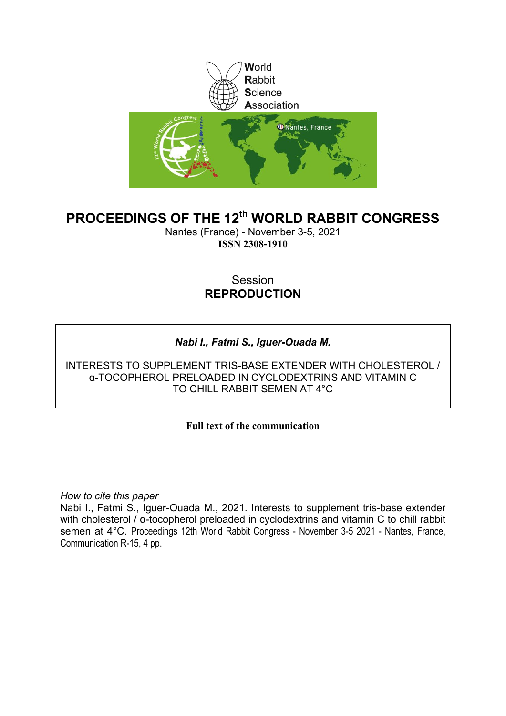

# **PROCEEDINGS OF THE 12th WORLD RABBIT CONGRESS**

Nantes (France) - November 3-5, 2021 **ISSN 2308-1910**

# Session **REPRODUCTION**

# *Nabi I., Fatmi S., Iguer-Ouada M.*

INTERESTS TO SUPPLEMENT TRIS-BASE EXTENDER WITH CHOLESTEROL / α-TOCOPHEROL PRELOADED IN CYCLODEXTRINS AND VITAMIN C TO CHILL RABBIT SEMEN AT 4°C

### **Full text of the communication**

*How to cite this paper*

Nabi I., Fatmi S., Iguer-Ouada M., 2021. Interests to supplement tris-base extender with cholesterol / α-tocopherol preloaded in cyclodextrins and vitamin C to chill rabbit semen at 4°C. Proceedings 12th World Rabbit Congress - November 3-5 2021 - Nantes, France, Communication R-15, 4 pp.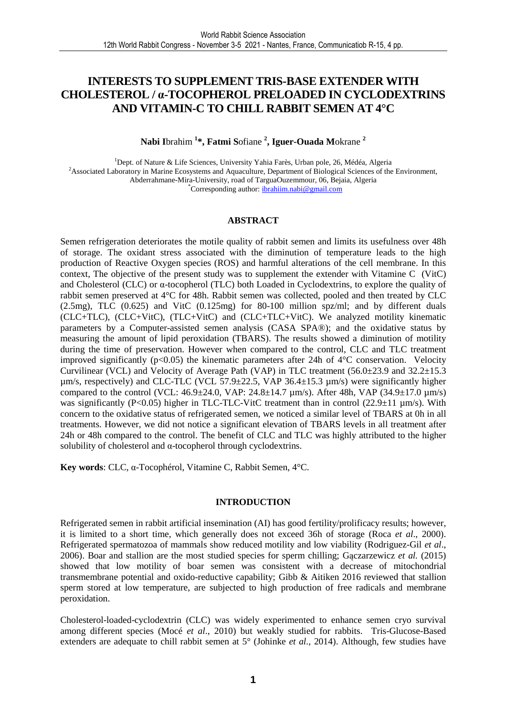### **INTERESTS TO SUPPLEMENT TRIS-BASE EXTENDER WITH CHOLESTEROL / α-TOCOPHEROL PRELOADED IN CYCLODEXTRINS AND VITAMIN-C TO CHILL RABBIT SEMEN AT 4°C**

### **Nabi I**brahim **<sup>1</sup> \*, Fatmi S**ofiane **<sup>2</sup> , Iguer-Ouada M**okrane **<sup>2</sup>**

<sup>1</sup>Dept. of Nature & Life Sciences, University Yahia Farès, Urban pole, 26, Médéa, Algeria <sup>2</sup>Associated Laboratory in Marine Ecosystems and Aquaculture, Department of Biological Sciences of the Environment, Abderrahmane-Mira-University, road of TarguaOuzemmour, 06, Bejaia, Algeria \*Corresponding author: ibrahiim.nabi@gmail.com

#### **ABSTRACT**

Semen refrigeration deteriorates the motile quality of rabbit semen and limits its usefulness over 48h of storage. The oxidant stress associated with the diminution of temperature leads to the high production of Reactive Oxygen species (ROS) and harmful alterations of the cell membrane. In this context, The objective of the present study was to supplement the extender with Vitamine C (VitC) and Cholesterol (CLC) or α-tocopherol (TLC) both Loaded in Cyclodextrins, to explore the quality of rabbit semen preserved at 4°C for 48h. Rabbit semen was collected, pooled and then treated by CLC (2.5mg), TLC (0.625) and VitC (0.125mg) for 80-100 million spz/ml; and by different duals (CLC+TLC), (CLC+VitC), (TLC+VitC) and (CLC+TLC+VitC). We analyzed motility kinematic parameters by a Computer-assisted semen analysis (CASA SPA®); and the oxidative status by measuring the amount of lipid peroxidation (TBARS). The results showed a diminution of motility during the time of preservation. However when compared to the control, CLC and TLC treatment improved significantly ( $p<0.05$ ) the kinematic parameters after 24h of 4 $\degree$ C conservation. Velocity Curvilinear (VCL) and Velocity of Average Path (VAP) in TLC treatment (56.0±23.9 and 32.2±15.3  $\mu$ m/s, respectively) and CLC-TLC (VCL 57.9±22.5, VAP 36.4±15.3  $\mu$ m/s) were significantly higher compared to the control (VCL:  $46.9 \pm 24.0$ , VAP:  $24.8 \pm 14.7 \mu$ m/s). After 48h, VAP ( $34.9 \pm 17.0 \mu$ m/s) was significantly (P<0.05) higher in TLC-TLC-VitC treatment than in control (22.9 $\pm$ 11 µm/s). With concern to the oxidative status of refrigerated semen, we noticed a similar level of TBARS at 0h in all treatments. However, we did not notice a significant elevation of TBARS levels in all treatment after 24h or 48h compared to the control. The benefit of CLC and TLC was highly attributed to the higher solubility of cholesterol and α-tocopherol through cyclodextrins.

**Key words**: CLC, α-Tocophérol, Vitamine C, Rabbit Semen, 4°C.

#### **INTRODUCTION**

Refrigerated semen in rabbit artificial insemination (AI) has good fertility/prolificacy results; however, it is limited to a short time, which generally does not exceed 36h of storage (Roca *et al*., 2000). Refrigerated spermatozoa of mammals show reduced motility and low viability (Rodriguez-Gil *et al*., 2006). Boar and stallion are the most studied species for sperm chilling; Gączarzewicz *et al.* (2015) showed that low motility of boar semen was consistent with a decrease of mitochondrial transmembrane potential and oxido-reductive capability; Gibb & Aitiken 2016 reviewed that stallion sperm stored at low temperature, are subjected to high production of free radicals and membrane peroxidation.

Cholesterol-loaded-cyclodextrin (CLC) was widely experimented to enhance semen cryo survival among different species (Mocé *et al*., 2010) but weakly studied for rabbits. Tris-Glucose-Based extenders are adequate to chill rabbit semen at 5° (Johinke *et al.,* 2014). Although, few studies have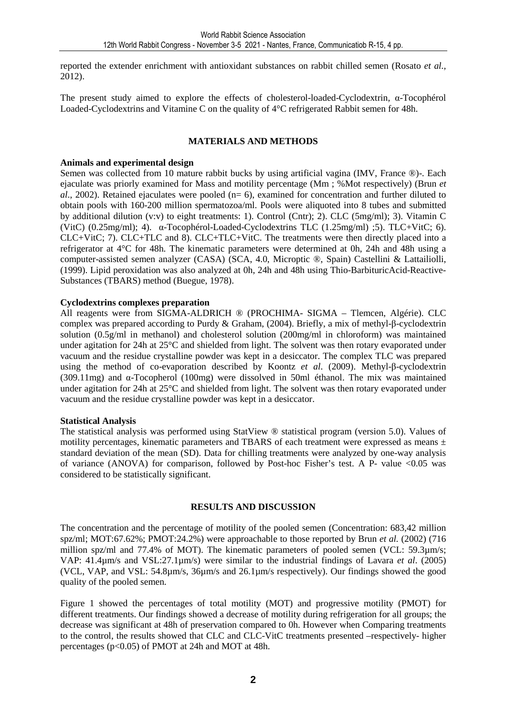reported the extender enrichment with antioxidant substances on rabbit chilled semen (Rosato *et al.,*  2012).

The present study aimed to explore the effects of cholesterol-loaded-Cyclodextrin, α-Tocophérol Loaded-Cyclodextrins and Vitamine C on the quality of 4°C refrigerated Rabbit semen for 48h.

#### **MATERIALS AND METHODS**

#### **Animals and experimental design**

Semen was collected from 10 mature rabbit bucks by using artificial vagina (IMV, France ®)-. Each ejaculate was priorly examined for Mass and motility percentage (Mm ; %Mot respectively) (Brun *et al.*, 2002). Retained ejaculates were pooled (n= 6), examined for concentration and further diluted to obtain pools with 160-200 million spermatozoa/ml. Pools were aliquoted into 8 tubes and submitted by additional dilution (v:v) to eight treatments: 1). Control (Cntr); 2). CLC (5mg/ml); 3). Vitamin C (VitC)  $(0.25mg/ml)$ ; 4).  $\alpha$ -Tocophérol-Loaded-Cyclodextrins TLC  $(1.25mg/ml)$ ; 5). TLC+VitC; 6). CLC+VitC; 7). CLC+TLC and 8). CLC+TLC+VitC. The treatments were then directly placed into a refrigerator at 4°C for 48h. The kinematic parameters were determined at 0h, 24h and 48h using a computer-assisted semen analyzer (CASA) (SCA, 4.0, Microptic ®, Spain) Castellini & Lattailiolli, (1999). Lipid peroxidation was also analyzed at 0h, 24h and 48h using Thio-BarbituricAcid-Reactive-Substances (TBARS) method (Buegue, 1978).

#### **Cyclodextrins complexes preparation**

All reagents were from SIGMA-ALDRICH ® (PROCHIMA- SIGMA – Tlemcen, Algérie). CLC complex was prepared according to Purdy & Graham, (2004). Briefly, a mix of methyl-β-cyclodextrin solution (0.5g/ml in methanol) and cholesterol solution (200mg/ml in chloroform) was maintained under agitation for 24h at 25°C and shielded from light. The solvent was then rotary evaporated under vacuum and the residue crystalline powder was kept in a desiccator. The complex TLC was prepared using the method of co-evaporation described by Koontz *et al*. (2009). Methyl-β-cyclodextrin (309.11mg) and α-Tocopherol (100mg) were dissolved in 50ml éthanol. The mix was maintained under agitation for 24h at 25<sup>°</sup>C and shielded from light. The solvent was then rotary evaporated under vacuum and the residue crystalline powder was kept in a desiccator.

#### **Statistical Analysis**

The statistical analysis was performed using StatView ® statistical program (version 5.0). Values of motility percentages, kinematic parameters and TBARS of each treatment were expressed as means ± standard deviation of the mean (SD). Data for chilling treatments were analyzed by one-way analysis of variance (ANOVA) for comparison, followed by Post-hoc Fisher's test. A P- value  $\langle 0.05 \rangle$  was considered to be statistically significant.

### **RESULTS AND DISCUSSION**

The concentration and the percentage of motility of the pooled semen (Concentration: 683,42 million spz/ml; MOT:67.62%; PMOT:24.2%) were approachable to those reported by Brun *et al.* (2002) (716 million spz/ml and 77.4% of MOT). The kinematic parameters of pooled semen (VCL: 59.3µm/s; VAP: 41.4µm/s and VSL:27.1µm/s) were similar to the industrial findings of Lavara *et al*. (2005) (VCL, VAP, and VSL: 54.8µm/s, 36µm/s and 26.1µm/s respectively). Our findings showed the good quality of the pooled semen.

Figure 1 showed the percentages of total motility (MOT) and progressive motility (PMOT) for different treatments. Our findings showed a decrease of motility during refrigeration for all groups; the decrease was significant at 48h of preservation compared to 0h. However when Comparing treatments to the control, the results showed that CLC and CLC-VitC treatments presented –respectively- higher percentages (p<0.05) of PMOT at 24h and MOT at 48h.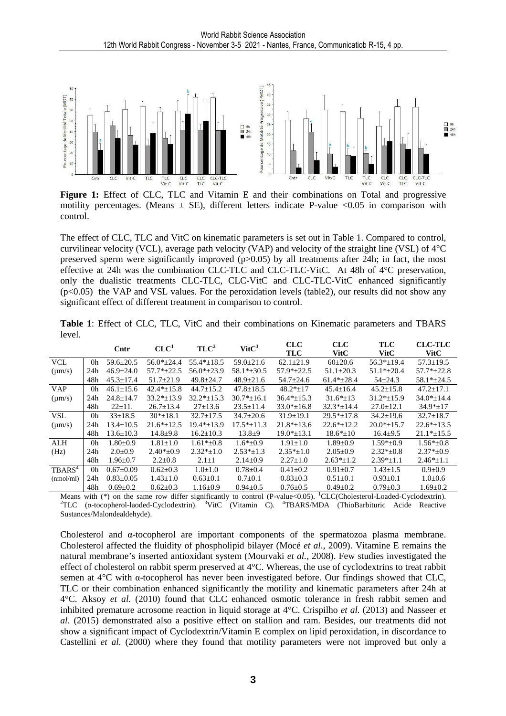

Figure 1: Effect of CLC, TLC and Vitamin E and their combinations on Total and progressive motility percentages. (Means  $\pm$  SE), different letters indicate P-value <0.05 in comparison with control.

The effect of CLC, TLC and VitC on kinematic parameters is set out in Table 1. Compared to control, curvilinear velocity (VCL), average path velocity (VAP) and velocity of the straight line (VSL) of 4°C preserved sperm were significantly improved (p>0.05) by all treatments after 24h; in fact, the most effective at 24h was the combination CLC-TLC and CLC-TLC-VitC. At 48h of 4°C preservation, only the dualistic treatments CLC-TLC, CLC-VitC and CLC-TLC-VitC enhanced significantly  $(p<0.05)$  the VAP and VSL values. For the peroxidation levels (table2), our results did not show any significant effect of different treatment in comparison to control.

|        |  |  |  | <b>Table 1:</b> Effect of CLC, TLC, VitC and their combinations on Kinematic parameters and TBARS |  |  |  |
|--------|--|--|--|---------------------------------------------------------------------------------------------------|--|--|--|
| level. |  |  |  |                                                                                                   |  |  |  |

|                    |     | Cntr            | CLC <sup>1</sup> | TLC <sup>2</sup> | VitC <sup>3</sup> | <b>CLC</b><br><b>TLC</b> | <b>CLC</b><br><b>VitC</b> | <b>TLC</b><br><b>VitC</b> | <b>CLC-TLC</b><br><b>VitC</b> |
|--------------------|-----|-----------------|------------------|------------------|-------------------|--------------------------|---------------------------|---------------------------|-------------------------------|
| <b>VCL</b>         | 0h  | $59.6 \pm 20.5$ | $56.0*+24.4$     | $55.4*+18.5$     | $59.0 \pm 21.6$   | $62.1 \pm 21.9$          | $60\pm 20.6$              | $56.3*+19.4$              | $57.3 + 19.5$                 |
| $(\mu m/s)$        | 24h | $46.9 \pm 24.0$ | $57.7*+22.5$     | $56.0* \pm 23.9$ | $58.1* \pm 30.5$  | $57.9*+22.5$             | $51.1 \pm 20.3$           | $51.1*+20.4$              | $57.7*+22.8$                  |
|                    | 48h | $45.3 \pm 17.4$ | $51.7 \pm 21.9$  | $49.8 \pm 24.7$  | $48.9 \pm 21.6$   | $54.7 \pm 24.6$          | $61.4*+28.4$              | $54 \pm 24.3$             | $58.1*+24.5$                  |
| <b>VAP</b>         | 0h  | $46.1 \pm 15.6$ | $42.4*+15.8$     | $44.7 \pm 15.2$  | $47.8 \pm 18.5$   | $48.2*+17$               | $45.4 \pm 16.4$           | $45.2 + 15.8$             | $47.2 + 17.1$                 |
| $(\mu m/s)$        | 24h | $24.8 + 14.7$   | $33.2*+13.9$     | $32.2*+15.3$     | $30.7*+16.1$      | $36.4*+15.3$             | $31.6*+13$                | $31.2*+15.9$              | $34.0*+14.4$                  |
|                    | 48h | $22 \pm 11$ .   | $26.7 \pm 13.4$  | $27 \pm 13.6$    | $23.5 \pm 11.4$   | $33.0* \pm 16.8$         | $32.3* \pm 14.4$          | $27.0 \pm 12.1$           | $34.9* \pm 17$                |
| <b>VSL</b>         | 0h  | $33 \pm 18.5$   | $30*_{\pm}18.1$  | $32.7 + 17.5$    | $34.7 \pm 20.6$   | $31.9 \pm 19.1$          | $29.5* \pm 17.8$          | $34.2 \pm 19.6$           | $32.7 + 18.7$                 |
| $(\mu m/s)$        | 24h | $13.4 \pm 10.5$ | $21.6*+12.5$     | $19.4*+13.9$     | $17.5*+11.3$      | $21.8*+13.6$             | $22.6*+12.2$              | $20.0*+15.7$              | $22.6*+13.5$                  |
|                    | 48h | $13.6 \pm 10.3$ | $14.8 + 9.8$     | $16.2 \pm 10.3$  | $13.8 + 9$        | $19.0* \pm 13.1$         | $18.6* \pm 10$            | $16.4 \pm 9.5$            | $21.1* \pm 15.5$              |
| ALH                | 0h  | $1.80 + 0.9$    | $1.81 \pm 1.0$   | $1.61*+0.8$      | $1.6*+0.9$        | $1.91 + 1.0$             | $1.89 + 0.9$              | $1.59*+0.9$               | $1.56*+0.8$                   |
| (Hz)               | 24h | $2.0 \pm 0.9$   | $2.40*+0.9$      | $2.32*+1.0$      | $2.53* \pm 1.3$   | $2.35*+1.0$              | $2.05+0.9$                | $2.32*+0.8$               | $2.37*+0.9$                   |
|                    | 48h | $1.96 \pm 0.7$  | $2.2 \pm 0.8$    | $2.1 \pm 1$      | $2.14 \pm 0.9$    | $2.27 \pm 1.0$           | $2.63* \pm 1.2$           | $2.39*_{\pm}1.1$          | $2.46*_{\pm}1.1$              |
| TBARS <sup>4</sup> | 0h  | $0.67+0.09$     | $0.62 \pm 0.3$   | $1.0+1.0$        | $0.78 + 0.4$      | $0.41 + 0.2$             | $0.91 \pm 0.7$            | $1.43 + 1.5$              | $0.9 \pm 0.9$                 |
| (mmol/ml)          | 24h | $0.83 \pm 0.05$ | $1.43 \pm 1.0$   | $0.63 \pm 0.1$   | $0.7 \pm 0.1$     | $0.83 \pm 0.3$           | $0.51 \pm 0.1$            | $0.93 \pm 0.1$            | $1.0 \pm 0.6$                 |
|                    | 48h | $0.69 \pm 0.2$  | $0.62 \pm 0.3$   | $1.16 \pm 0.9$   | $0.94 \pm 0.5$    | $0.76 \pm 0.5$           | $0.49 \pm 0.2$            | $0.79 \pm 0.3$            | $1.69 \pm 0.2$                |

Means with  $(*)$  on the same row differ significantly to control (P-value <0.05). <sup>1</sup>CLC(Cholesterol-Loaded-Cyclodextrin). <sup>2</sup>TLC (α-tocopherol-laoded-Cyclodextrin). <sup>3</sup>VitC (Vitamin C). <sup>4</sup>TBARS/MDA (ThioBarbituric Acide Reactive Sustances/Malondealdehyde).

Cholesterol and α-tocopherol are important components of the spermatozoa plasma membrane. Cholesterol affected the fluidity of phospholipid bilayer (Mocé *et al*., 2009). Vitamine E remains the natural membrane's inserted antioxidant system (Mourvaki *et al.,* 2008). Few studies investigated the effect of cholesterol on rabbit sperm preserved at 4°C. Whereas, the use of cyclodextrins to treat rabbit semen at 4°C with α-tocopherol has never been investigated before. Our findings showed that CLC, TLC or their combination enhanced significantly the motility and kinematic parameters after 24h at 4°C. Aksoy *et al.* (2010) found that CLC enhanced osmotic tolerance in fresh rabbit semen and inhibited premature acrosome reaction in liquid storage at 4°C. Crispilho *et al.* (2013) and Nasseer *et al*. (2015) demonstrated also a positive effect on stallion and ram. Besides, our treatments did not show a significant impact of Cyclodextrin/Vitamin E complex on lipid peroxidation, in discordance to Castellini *et al.* (2000) where they found that motility parameters were not improved but only a